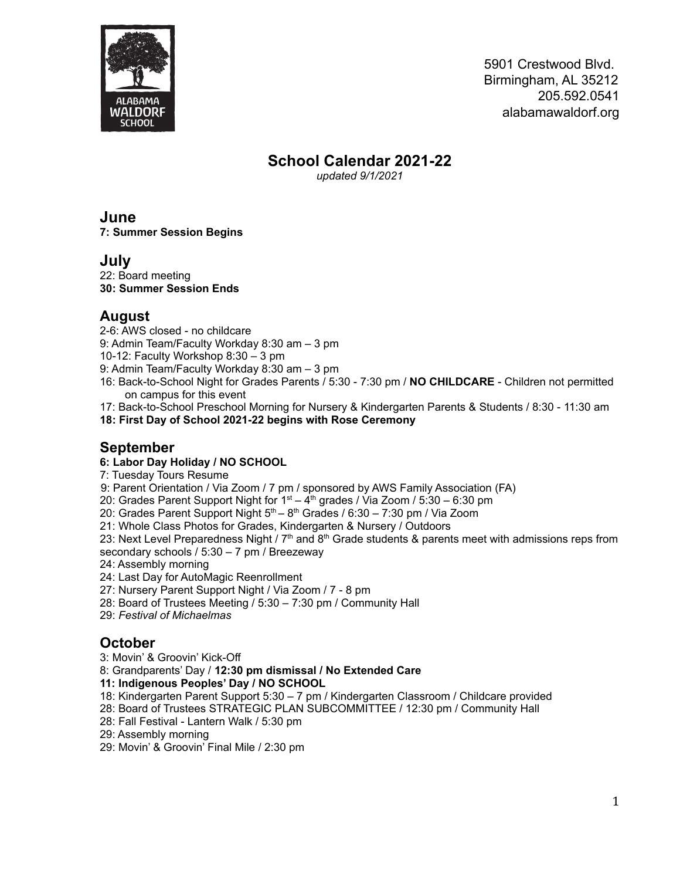

# **School Calendar 2021-22**

*updated 9/1/2021*

**June 7: Summer Session Begins**

# **July**

22: Board meeting **30: Summer Session Ends**

# **August**

2-6: AWS closed - no childcare

9: Admin Team/Faculty Workday 8:30 am – 3 pm

10-12: Faculty Workshop 8:30 – 3 pm

- 9: Admin Team/Faculty Workday 8:30 am 3 pm
- 16: Back-to-School Night for Grades Parents / 5:30 7:30 pm / **NO CHILDCARE** Children not permitted on campus for this event
- 17: Back-to-School Preschool Morning for Nursery & Kindergarten Parents & Students / 8:30 11:30 am

**18: First Day of School 2021-22 begins with Rose Ceremony**

# **September**

#### **6: Labor Day Holiday / NO SCHOOL**

7: Tuesday Tours Resume

9: Parent Orientation / Via Zoom / 7 pm / sponsored by AWS Family Association (FA)

20: Grades Parent Support Night for  $1<sup>st</sup> - 4<sup>th</sup>$  grades / Via Zoom / 5:30 – 6:30 pm

20: Grades Parent Support Night  $5<sup>th</sup> - 8<sup>th</sup>$  Grades / 6:30 – 7:30 pm / Via Zoom

21: Whole Class Photos for Grades, Kindergarten & Nursery / Outdoors

23: Next Level Preparedness Night /  $7<sup>th</sup>$  and 8<sup>th</sup> Grade students & parents meet with admissions reps from secondary schools / 5:30 – 7 pm / Breezeway

24: Assembly morning

24: Last Day for AutoMagic Reenrollment

27: Nursery Parent Support Night / Via Zoom / 7 - 8 pm

28: Board of Trustees Meeting / 5:30 – 7:30 pm / Community Hall

29: *Festival of Michaelmas*

## **October**

3: Movin' & Groovin' Kick-Off

8: Grandparents' Day / **12:30 pm dismissal / No Extended Care**

**11: Indigenous Peoples' Day / NO SCHOOL**

18: Kindergarten Parent Support 5:30 – 7 pm / Kindergarten Classroom / Childcare provided

28: Board of Trustees STRATEGIC PLAN SUBCOMMITTEE / 12:30 pm / Community Hall

28: Fall Festival - Lantern Walk / 5:30 pm

29: Assembly morning

29: Movin' & Groovin' Final Mile / 2:30 pm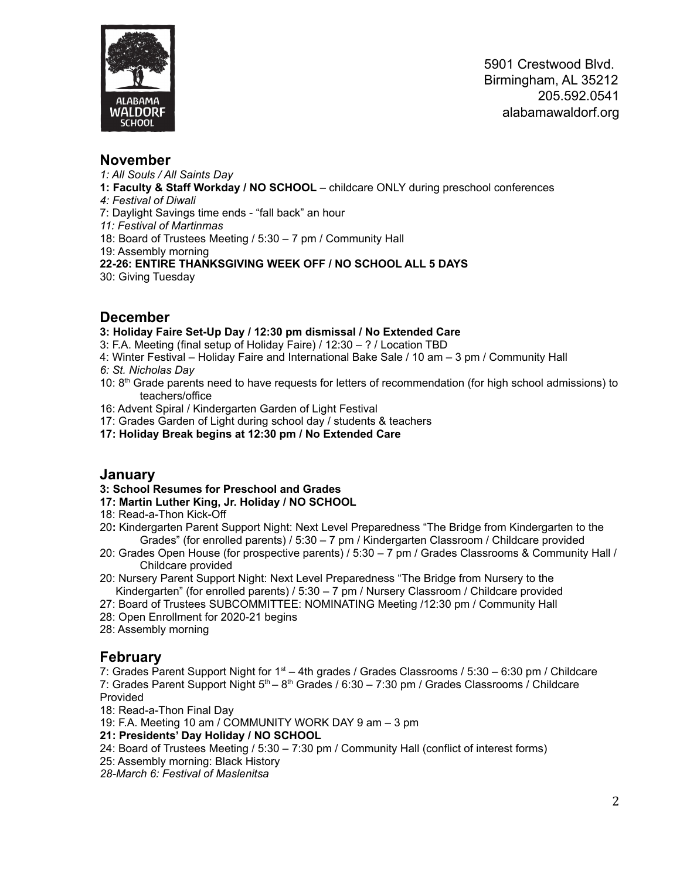

### **November**

- *1: All Souls / All Saints Day*
- **1: Faculty & Staff Workday / NO SCHOOL** childcare ONLY during preschool conferences
- *4: Festival of Diwali*
- 7: Daylight Savings time ends "fall back" an hour
- *11: Festival of Martinmas*
- 18: Board of Trustees Meeting / 5:30 7 pm / Community Hall
- 19: Assembly morning
- **22-26: ENTIRE THANKSGIVING WEEK OFF / NO SCHOOL ALL 5 DAYS**
- 30: Giving Tuesday

### **December**

#### **3: Holiday Faire Set-Up Day / 12:30 pm dismissal / No Extended Care**

- 3: F.A. Meeting (final setup of Holiday Faire) / 12:30 ? / Location TBD
- 4: Winter Festival Holiday Faire and International Bake Sale / 10 am 3 pm / Community Hall *6: St. Nicholas Day*
- 10: 8<sup>th</sup> Grade parents need to have requests for letters of recommendation (for high school admissions) to teachers/office
- 16: Advent Spiral / Kindergarten Garden of Light Festival
- 17: Grades Garden of Light during school day / students & teachers
- **17: Holiday Break begins at 12:30 pm / No Extended Care**

### **January**

- **3: School Resumes for Preschool and Grades**
- **17: Martin Luther King, Jr. Holiday / NO SCHOOL**
- 18: Read-a-Thon Kick-Off
- 20**:** Kindergarten Parent Support Night: Next Level Preparedness "The Bridge from Kindergarten to the Grades" (for enrolled parents) / 5:30 – 7 pm / Kindergarten Classroom / Childcare provided
- 20: Grades Open House (for prospective parents) / 5:30 7 pm / Grades Classrooms & Community Hall / Childcare provided
- 20: Nursery Parent Support Night: Next Level Preparedness "The Bridge from Nursery to the Kindergarten" (for enrolled parents) / 5:30 – 7 pm / Nursery Classroom / Childcare provided
- 27: Board of Trustees SUBCOMMITTEE: NOMINATING Meeting /12:30 pm / Community Hall
- 28: Open Enrollment for 2020-21 begins
- 28: Assembly morning

## **February**

7: Grades Parent Support Night for  $1<sup>st</sup> - 4$ th grades / Grades Classrooms / 5:30 – 6:30 pm / Childcare 7: Grades Parent Support Night 5<sup>th</sup> – 8<sup>th</sup> Grades / 6:30 – 7:30 pm / Grades Classrooms / Childcare Provided

- 18: Read-a-Thon Final Day
- 19: F.A. Meeting 10 am / COMMUNITY WORK DAY 9 am 3 pm
- **21: Presidents' Day Holiday / NO SCHOOL**
- 24: Board of Trustees Meeting / 5:30 7:30 pm / Community Hall (conflict of interest forms)
- 25: Assembly morning: Black History
- *28-March 6: Festival of Maslenitsa*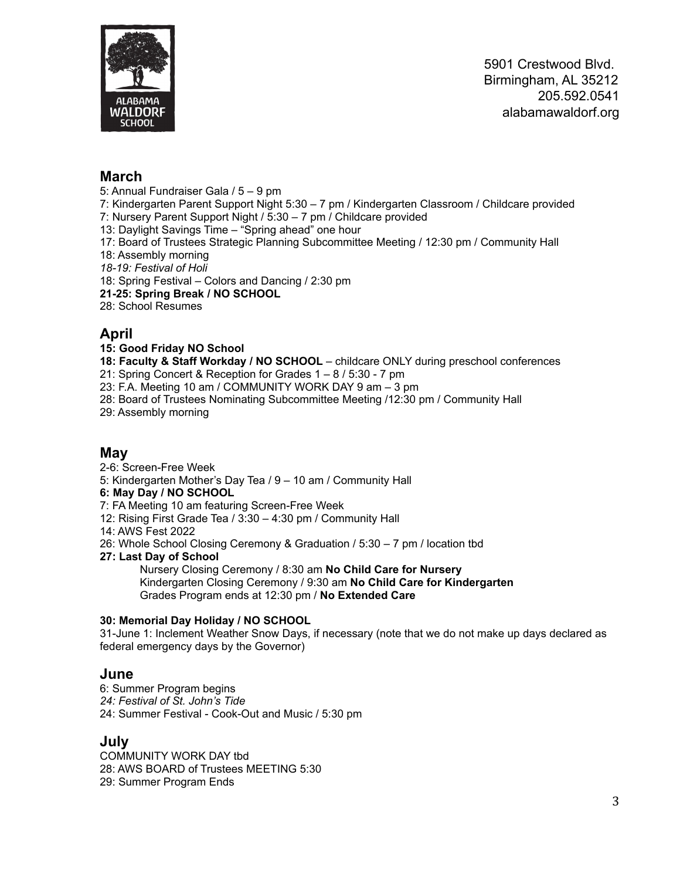

## **March**

- 5: Annual Fundraiser Gala / 5 9 pm
- 7: Kindergarten Parent Support Night 5:30 7 pm / Kindergarten Classroom / Childcare provided
- 7: Nursery Parent Support Night / 5:30 7 pm / Childcare provided
- 13: Daylight Savings Time "Spring ahead" one hour
- 17: Board of Trustees Strategic Planning Subcommittee Meeting / 12:30 pm / Community Hall
- 18: Assembly morning
- *18-19: Festival of Holi*
- 18: Spring Festival Colors and Dancing / 2:30 pm
- **21-25: Spring Break / NO SCHOOL**
- 28: School Resumes

### **April**

#### **15: Good Friday NO School**

- **18: Faculty & Staff Workday / NO SCHOOL** childcare ONLY during preschool conferences
- 21: Spring Concert & Reception for Grades 1 8 / 5:30 7 pm
- 23: F.A. Meeting 10 am / COMMUNITY WORK DAY 9 am 3 pm
- 28: Board of Trustees Nominating Subcommittee Meeting /12:30 pm / Community Hall
- 29: Assembly morning

#### **May**

- 2-6: Screen-Free Week
- 5: Kindergarten Mother's Day Tea / 9 10 am / Community Hall

#### **6: May Day / NO SCHOOL**

- 7: FA Meeting 10 am featuring Screen-Free Week
- 12: Rising First Grade Tea / 3:30 4:30 pm / Community Hall
- 14: AWS Fest 2022
- 26: Whole School Closing Ceremony & Graduation / 5:30 7 pm / location tbd
- **27: Last Day of School**

Nursery Closing Ceremony / 8:30 am **No Child Care for Nursery** Kindergarten Closing Ceremony / 9:30 am **No Child Care for Kindergarten** Grades Program ends at 12:30 pm / **No Extended Care**

#### **30: Memorial Day Holiday / NO SCHOOL**

31-June 1: Inclement Weather Snow Days, if necessary (note that we do not make up days declared as federal emergency days by the Governor)

#### **June**

6: Summer Program begins *24: Festival of St. John's Tide* 24: Summer Festival - Cook-Out and Music / 5:30 pm

#### **July**

COMMUNITY WORK DAY tbd 28: AWS BOARD of Trustees MEETING 5:30 29: Summer Program Ends